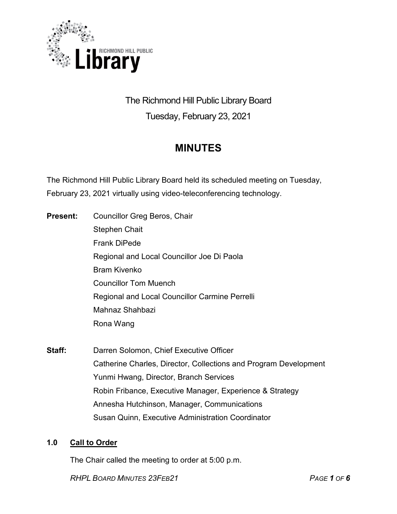

# The Richmond Hill Public Library Board Tuesday, February 23, 2021

# **MINUTES**

The Richmond Hill Public Library Board held its scheduled meeting on Tuesday, February 23, 2021 virtually using video-teleconferencing technology.

- **Present:** Councillor Greg Beros, Chair Stephen Chait Frank DiPede Regional and Local Councillor Joe Di Paola Bram Kivenko Councillor Tom Muench Regional and Local Councillor Carmine Perrelli Mahnaz Shahbazi Rona Wang
- **Staff:** Darren Solomon, Chief Executive Officer Catherine Charles, Director, Collections and Program Development Yunmi Hwang, Director, Branch Services Robin Fribance, Executive Manager, Experience & Strategy Annesha Hutchinson, Manager, Communications Susan Quinn, Executive Administration Coordinator

# **1.0 Call to Order**

The Chair called the meeting to order at 5:00 p.m.

*RHPL BOARD MINUTES 23FEB21 PAGE 1 OF 6*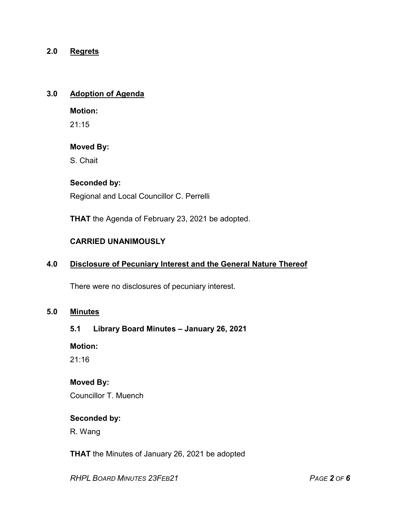## **2.0 Regrets**

## **3.0 Adoption of Agenda**

**Motion:**

21:15

## **Moved By:**

S. Chait

# **Seconded by:**

Regional and Local Councillor C. Perrelli

**THAT** the Agenda of February 23, 2021 be adopted.

# **CARRIED UNANIMOUSLY**

#### **4.0 Disclosure of Pecuniary Interest and the General Nature Thereof**

There were no disclosures of pecuniary interest.

# **5.0 Minutes**

#### **5.1 Library Board Minutes – January 26, 2021**

**Motion:**

21:16

#### **Moved By:**

Councillor T. Muench

#### **Seconded by:**

R. Wang

**THAT** the Minutes of January 26, 2021 be adopted

*RHPL BOARD MINUTES 23FEB21 PAGE 2 OF 6*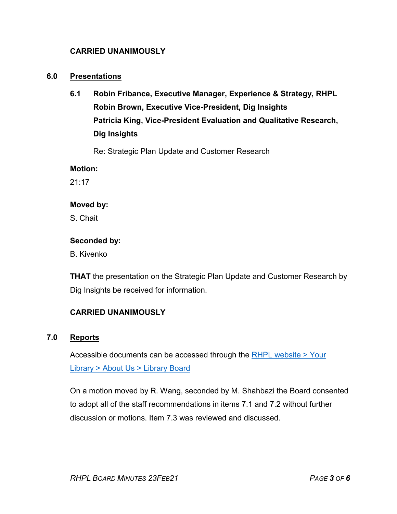## **CARRIED UNANIMOUSLY**

#### **6.0 Presentations**

**6.1 Robin Fribance, Executive Manager, Experience & Strategy, RHPL Robin Brown, Executive Vice-President, Dig Insights Patricia King, Vice-President Evaluation and Qualitative Research, Dig Insights**

Re: Strategic Plan Update and Customer Research

**Motion:** 

21:17

#### **Moved by:**

S. Chait

#### **Seconded by:**

B. Kivenko

**THAT** the presentation on the Strategic Plan Update and Customer Research by Dig Insights be received for information.

# **CARRIED UNANIMOUSLY**

## **7.0 Reports**

Accessible documents can be accessed through the [RHPL website > Your](https://www.rhpl.ca/your-library/about-us/library-board)  Library [> About Us > Library](https://www.rhpl.ca/your-library/about-us/library-board) Board

On a motion moved by R. Wang, seconded by M. Shahbazi the Board consented to adopt all of the staff recommendations in items 7.1 and 7.2 without further discussion or motions. Item 7.3 was reviewed and discussed.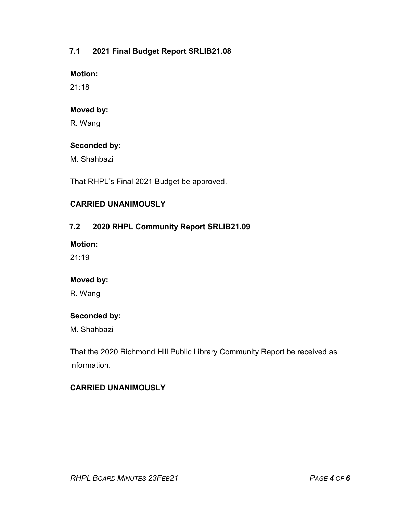# **7.1 2021 Final Budget Report SRLIB21.08**

#### **Motion:**

21:18

## **Moved by:**

R. Wang

## **Seconded by:**

M. Shahbazi

That RHPL's Final 2021 Budget be approved.

# **CARRIED UNANIMOUSLY**

# **7.2 2020 RHPL Community Report SRLIB21.09**

**Motion:** 

 $21:19$ 

# **Moved by:**

R. Wang

# **Seconded by:**

M. Shahbazi

That the 2020 Richmond Hill Public Library Community Report be received as information.

# **CARRIED UNANIMOUSLY**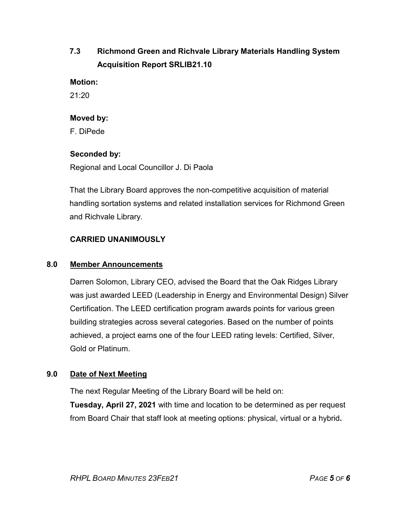# **7.3 Richmond Green and Richvale Library Materials Handling System Acquisition Report SRLIB21.10**

**Motion:** 

21:20

## **Moved by:**

F. DiPede

# **Seconded by:**

Regional and Local Councillor J. Di Paola

That the Library Board approves the non-competitive acquisition of material handling sortation systems and related installation services for Richmond Green and Richvale Library.

# **CARRIED UNANIMOUSLY**

# **8.0 Member Announcements**

Darren Solomon, Library CEO, advised the Board that the Oak Ridges Library was just awarded LEED (Leadership in Energy and Environmental Design) Silver Certification. The LEED certification program awards points for various green building strategies across several categories. Based on the number of points achieved, a project earns one of the four LEED rating levels: Certified, Silver, Gold or Platinum.

# **9.0 Date of Next Meeting**

The next Regular Meeting of the Library Board will be held on:

**Tuesday, April 27, 2021** with time and location to be determined as per request from Board Chair that staff look at meeting options: physical, virtual or a hybrid**.**